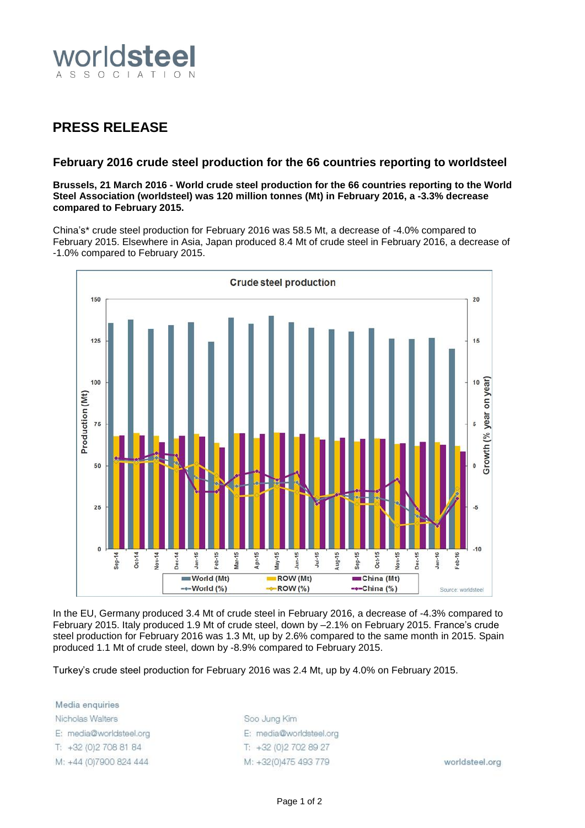

## **PRESS RELEASE**

## **February 2016 crude steel production for the 66 countries reporting to worldsteel**

**Brussels, 21 March 2016 - World crude steel production for the 66 countries reporting to the World Steel Association (worldsteel) was 120 million tonnes (Mt) in February 2016, a -3.3% decrease compared to February 2015.**

China's\* crude steel production for February 2016 was 58.5 Mt, a decrease of -4.0% compared to February 2015. Elsewhere in Asia, Japan produced 8.4 Mt of crude steel in February 2016, a decrease of -1.0% compared to February 2015.



In the EU, Germany produced 3.4 Mt of crude steel in February 2016, a decrease of -4.3% compared to February 2015. Italy produced 1.9 Mt of crude steel, down by –2.1% on February 2015. France's crude steel production for February 2016 was 1.3 Mt, up by 2.6% compared to the same month in 2015. Spain produced 1.1 Mt of crude steel, down by -8.9% compared to February 2015.

Turkey's crude steel production for February 2016 was 2.4 Mt, up by 4.0% on February 2015.

Media enquiries Nicholas Walters E: media@worldsteel.org T: +32 (0) 2 708 81 84 M: +44 (0)7900 824 444

Soo Jung Kim E: media@worldsteel.org T: +32 (0) 2 70 2 89 27 M: +32(0)475 493 779

worldsteel.org